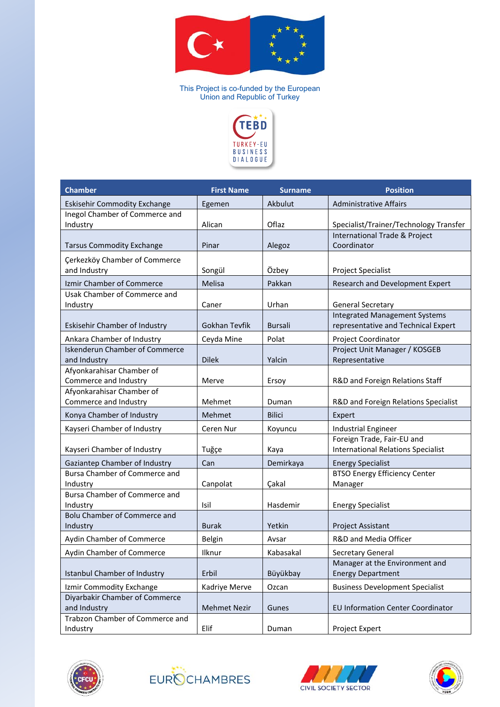

This Project is co-funded by the European Union and Republic of Turkey



| <b>Chamber</b>                                        | <b>First Name</b>   | <b>Surname</b> | <b>Position</b>                                                             |
|-------------------------------------------------------|---------------------|----------------|-----------------------------------------------------------------------------|
| <b>Eskisehir Commodity Exchange</b>                   | Egemen              | Akbulut        | <b>Administrative Affairs</b>                                               |
| Inegol Chamber of Commerce and<br>Industry            | Alican              | Oflaz          | Specialist/Trainer/Technology Transfer                                      |
| <b>Tarsus Commodity Exchange</b>                      | Pinar               | Alegoz         | International Trade & Project<br>Coordinator                                |
| Çerkezköy Chamber of Commerce<br>and Industry         | Songül              | Özbey          | Project Specialist                                                          |
| Izmir Chamber of Commerce                             | Melisa              | Pakkan         | Research and Development Expert                                             |
| Usak Chamber of Commerce and<br>Industry              | Caner               | Urhan          | <b>General Secretary</b>                                                    |
| Eskisehir Chamber of Industry                         | Gokhan Tevfik       | <b>Bursali</b> | <b>Integrated Management Systems</b><br>representative and Technical Expert |
| Ankara Chamber of Industry                            | Ceyda Mine          | Polat          | Project Coordinator                                                         |
| <b>Iskenderun Chamber of Commerce</b><br>and Industry | <b>Dilek</b>        | Yalcin         | Project Unit Manager / KOSGEB<br>Representative                             |
| Afyonkarahisar Chamber of<br>Commerce and Industry    | Merve               | Ersoy          | R&D and Foreign Relations Staff                                             |
| Afyonkarahisar Chamber of<br>Commerce and Industry    | Mehmet              | Duman          | R&D and Foreign Relations Specialist                                        |
| Konya Chamber of Industry                             | Mehmet              | <b>Bilici</b>  | Expert                                                                      |
| Kayseri Chamber of Industry                           | Ceren Nur           | Koyuncu        | <b>Industrial Engineer</b>                                                  |
| Kayseri Chamber of Industry                           | Tuğçe               | Kaya           | Foreign Trade, Fair-EU and<br><b>International Relations Specialist</b>     |
| Gaziantep Chamber of Industry                         | Can                 | Demirkaya      | <b>Energy Specialist</b>                                                    |
| Bursa Chamber of Commerce and<br>Industry             | Canpolat            | Çakal          | BTSO Energy Efficiency Center<br>Manager                                    |
| Bursa Chamber of Commerce and<br>Industry             | Isil                | Hasdemir       | <b>Energy Specialist</b>                                                    |
| <b>Bolu Chamber of Commerce and</b><br>Industry       | <b>Burak</b>        | Yetkin         | Project Assistant                                                           |
| Aydin Chamber of Commerce                             | <b>Belgin</b>       | Avsar          | R&D and Media Officer                                                       |
| Aydin Chamber of Commerce                             | Ilknur              | Kabasakal      | Secretary General                                                           |
| <b>Istanbul Chamber of Industry</b>                   | Erbil               | Büyükbay       | Manager at the Environment and<br><b>Energy Department</b>                  |
| Izmir Commodity Exchange                              | Kadriye Merve       | Ozcan          | <b>Business Development Specialist</b>                                      |
| Diyarbakir Chamber of Commerce<br>and Industry        | <b>Mehmet Nezir</b> | Gunes          | <b>EU Information Center Coordinator</b>                                    |
| Trabzon Chamber of Commerce and<br>Industry           | Elif                | Duman          | Project Expert                                                              |